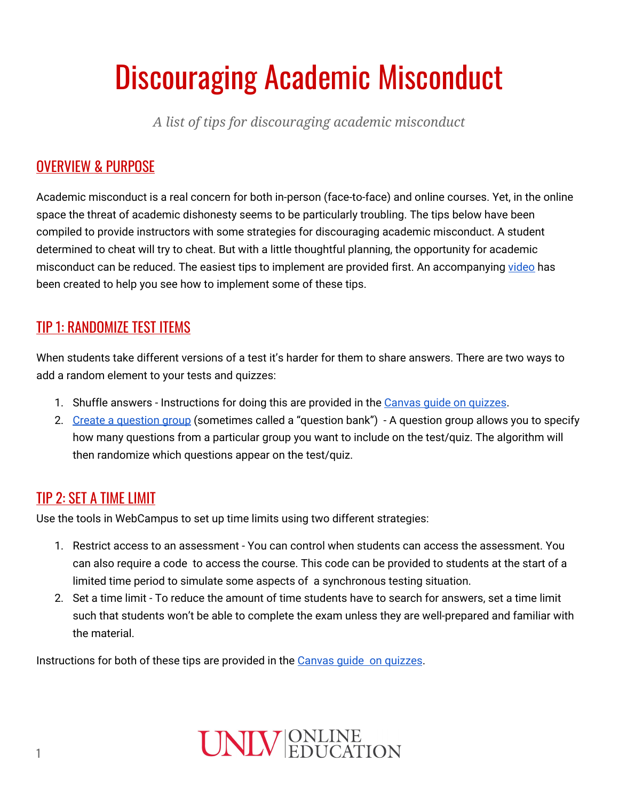# Discouraging Academic Misconduct

*A list of tips for discouraging academic misconduct*

### OVERVIEW & PURPOSE

Academic misconduct is a real concern for both in-person (face-to-face) and online courses. Yet, in the online space the threat of academic dishonesty seems to be particularly troubling. The tips below have been compiled to provide instructors with some strategies for discouraging academic misconduct. A student determined to cheat will try to cheat. But with a little thoughtful planning, the opportunity for academic misconduct can be reduced. The easiest tips to implement are provided first. An accompanying [video](https://youtu.be/t4NmZD7VGRY) has been created to help you see how to implement some of these tips.

#### TIP 1: RANDOMIZE TEST ITEMS

When students take different versions of a test it's harder for them to share answers. There are two ways to add a random element to your tests and quizzes:

- 1. Shuffle answers Instructions for doing this are provided in the Canvas guide on [quizzes](https://community.canvaslms.com/docs/DOC-10152-415241475).
- 2. Create a [question](https://community.canvaslms.com/docs/DOC-12979-415298624) group (sometimes called a "question bank") A question group allows you to specify how many questions from a particular group you want to include on the test/quiz. The algorithm will then randomize which questions appear on the test/quiz.

#### TIP 2: SET A TIME LIMIT

Use the tools in WebCampus to set up time limits using two different strategies:

- 1. Restrict access to an assessment You can control when students can access the assessment. You can also require a code to access the course. This code can be provided to students at the start of a limited time period to simulate some aspects of a synchronous testing situation.
- 2. Set a time limit To reduce the amount of time students have to search for answers, set a time limit such that students won't be able to complete the exam unless they are well-prepared and familiar with the material.

Instructions for both of these tips are provided in the Canvas guide on [quizzes](https://community.canvaslms.com/docs/DOC-10152-415241475).